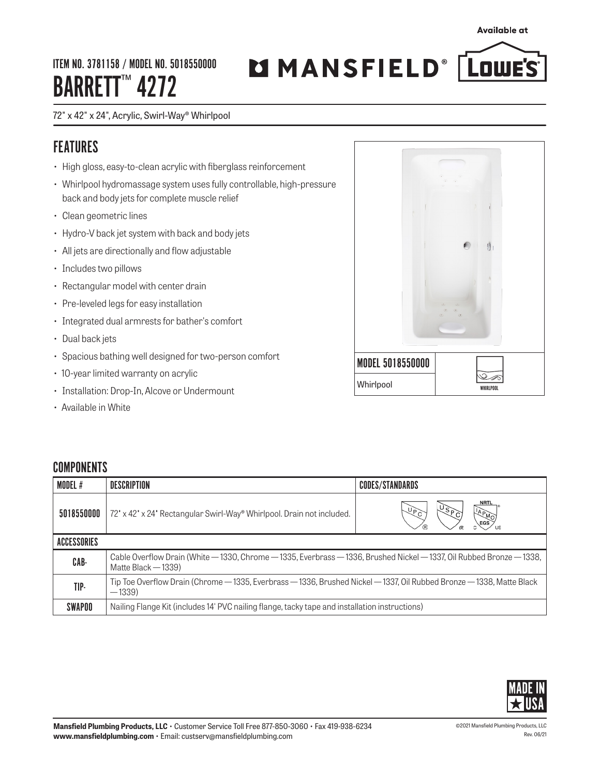## ITEM NO. 3781158 / MODEL NO. 5018550000 BARRETT<sup>™</sup> 4272

## 72" x 42" x 24", Acrylic, Swirl-Way® Whirlpool

## FEATURES

- High gloss, easy-to-clean acrylic with fiberglass reinforcement
- Whirlpool hydromassage system uses fully controllable, high-pressure back and body jets for complete muscle relief
- Clean geometric lines
- Hydro-V back jet system with back and body jets
- All jets are directionally and flow adjustable
- Includes two pillows
- Rectangular model with center drain
- Pre-leveled legs for easy installation
- Integrated dual armrests for bather's comfort
- Dual back jets
- Spacious bathing well designed for two-person comfort
- 10-year limited warranty on acrylic
- Installation: Drop-In, Alcove or Undermount
- Available in White

## **COMPONENTS**

| MODEL #     | <b>DESCRIPTION</b>                                                                                                                           | <b>CODES/STANDARDS</b> |
|-------------|----------------------------------------------------------------------------------------------------------------------------------------------|------------------------|
| 5018550000  | 72' x 42' x 24' Rectangular Swirl-Way® Whirlpool. Drain not included.                                                                        | <b>NRTL</b>            |
| ACCESSORIES |                                                                                                                                              |                        |
| CAB-        | Cable Overflow Drain (White - 1330, Chrome - 1335, Everbrass - 1336, Brushed Nickel - 1337, Oil Rubbed Bronze - 1338,<br>Matte Black - 1339) |                        |
| TIP-        | Tip Toe Overflow Drain (Chrome — 1335, Everbrass — 1336, Brushed Nickel — 1337, Oil Rubbed Bronze — 1338, Matte Black<br>$-1339$             |                        |
| SWAPOO      | Nailing Flange Kit (includes 14' PVC nailing flange, tacky tape and installation instructions)                                               |                        |







MMANSFIELD® LOWE'S